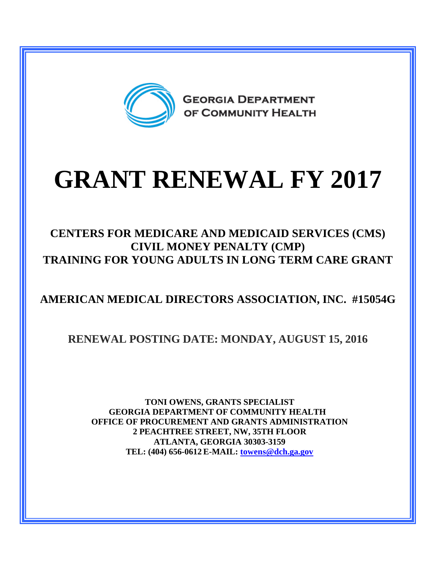

# **GRANT RENEWAL FY 2017**

#### **CENTERS FOR MEDICARE AND MEDICAID SERVICES (CMS) CIVIL MONEY PENALTY (CMP) TRAINING FOR YOUNG ADULTS IN LONG TERM CARE GRANT**

### **AMERICAN MEDICAL DIRECTORS ASSOCIATION, INC. #15054G**

#### **RENEWAL POSTING DATE: MONDAY, AUGUST 15, 2016**

**TONI OWENS, GRANTS SPECIALIST GEORGIA DEPARTMENT OF COMMUNITY HEALTH OFFICE OF PROCUREMENT AND GRANTS ADMINISTRATION 2 PEACHTREE STREET, NW, 35TH FLOOR ATLANTA, GEORGIA 30303-3159 TEL: (404) 656-0612 E-MAIL: [towens@dch.ga.gov](mailto:towens@dch.ga.gov)**